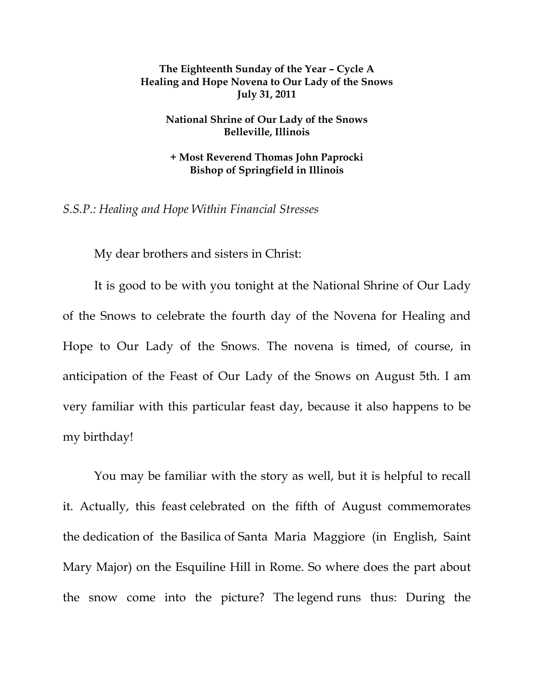## **The Eighteenth Sunday of the Year – Cycle A Healing and Hope Novena to Our Lady of the Snows July 31, 2011**

## **National Shrine of Our Lady of the Snows Belleville, Illinois**

**+ Most Reverend Thomas John Paprocki Bishop of Springfield in Illinois** 

*S.S.P.: Healing and Hope Within Financial Stresses* 

My dear brothers and sisters in Christ:

 It is good to be with you tonight at the National Shrine of Our Lady of the Snows to celebrate the fourth day of the Novena for Healing and Hope to Our Lady of the Snows. The novena is timed, of course, in anticipation of the Feast of Our Lady of the Snows on August 5th. I am very familiar with this particular feast day, because it also happens to be my birthday!

You may be familiar with the story as well, but it is helpful to recall it. Actually, this feast celebrated on the fifth of August commemorates the dedication of the Basilica of Santa Maria Maggiore (in English, Saint Mary Major) on the Esquiline Hill in Rome. So where does the part about the snow come into the picture? The legend runs thus: During the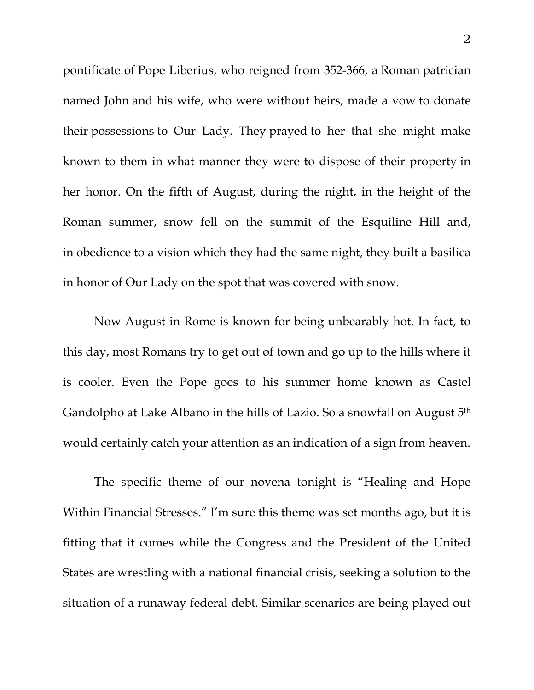pontificate of Pope Liberius, who reigned from 352-366, a Roman patrician named John and his wife, who were without heirs, made a vow to donate their possessions to Our Lady. They prayed to her that she might make known to them in what manner they were to dispose of their property in her honor. On the fifth of August, during the night, in the height of the Roman summer, snow fell on the summit of the Esquiline Hill and, in obedience to a vision which they had the same night, they built a basilica in honor of Our Lady on the spot that was covered with snow.

Now August in Rome is known for being unbearably hot. In fact, to this day, most Romans try to get out of town and go up to the hills where it is cooler. Even the Pope goes to his summer home known as Castel Gandolpho at Lake Albano in the hills of Lazio. So a snowfall on August 5th would certainly catch your attention as an indication of a sign from heaven.

The specific theme of our novena tonight is "Healing and Hope Within Financial Stresses." I'm sure this theme was set months ago, but it is fitting that it comes while the Congress and the President of the United States are wrestling with a national financial crisis, seeking a solution to the situation of a runaway federal debt. Similar scenarios are being played out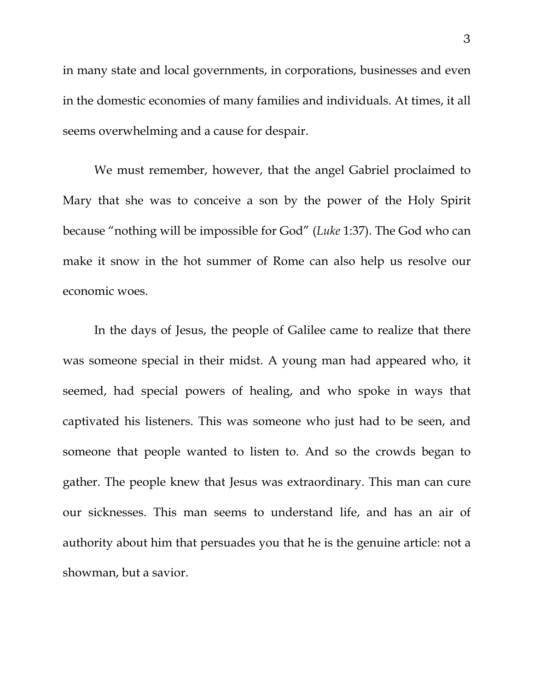in many state and local governments, in corporations, businesses and even in the domestic economies of many families and individuals. At times, it all seems overwhelming and a cause for despair.

We must remember, however, that the angel Gabriel proclaimed to Mary that she was to conceive a son by the power of the Holy Spirit because "nothing will be impossible for God" (*Luke* 1:37). The God who can make it snow in the hot summer of Rome can also help us resolve our economic woes.

In the days of Jesus, the people of Galilee came to realize that there was someone special in their midst. A young man had appeared who, it seemed, had special powers of healing, and who spoke in ways that captivated his listeners. This was someone who just had to be seen, and someone that people wanted to listen to. And so the crowds began to gather. The people knew that Jesus was extraordinary. This man can cure our sicknesses. This man seems to understand life, and has an air of authority about him that persuades you that he is the genuine article: not a showman, but a savior.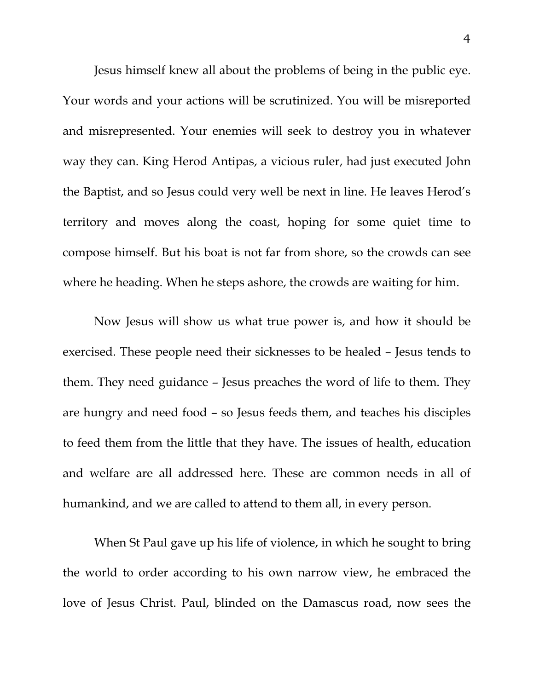Jesus himself knew all about the problems of being in the public eye. Your words and your actions will be scrutinized. You will be misreported and misrepresented. Your enemies will seek to destroy you in whatever way they can. King Herod Antipas, a vicious ruler, had just executed John the Baptist, and so Jesus could very well be next in line. He leaves Herod's territory and moves along the coast, hoping for some quiet time to compose himself. But his boat is not far from shore, so the crowds can see where he heading. When he steps ashore, the crowds are waiting for him.

Now Jesus will show us what true power is, and how it should be exercised. These people need their sicknesses to be healed – Jesus tends to them. They need guidance – Jesus preaches the word of life to them. They are hungry and need food – so Jesus feeds them, and teaches his disciples to feed them from the little that they have. The issues of health, education and welfare are all addressed here. These are common needs in all of humankind, and we are called to attend to them all, in every person.

When St Paul gave up his life of violence, in which he sought to bring the world to order according to his own narrow view, he embraced the love of Jesus Christ. Paul, blinded on the Damascus road, now sees the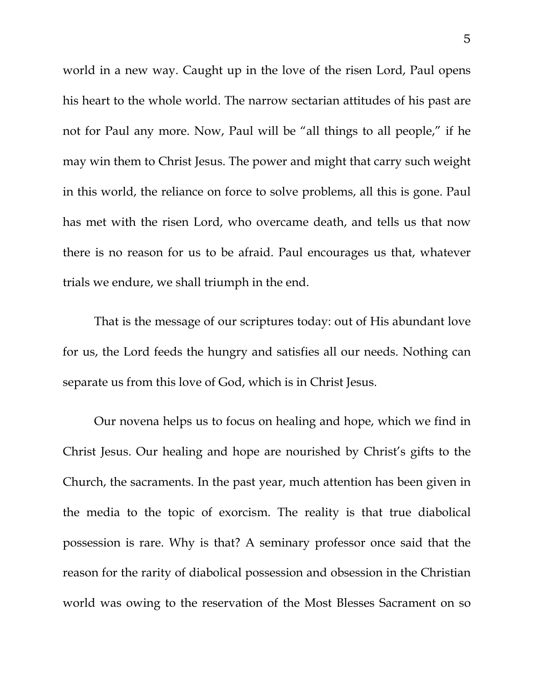world in a new way. Caught up in the love of the risen Lord, Paul opens his heart to the whole world. The narrow sectarian attitudes of his past are not for Paul any more. Now, Paul will be "all things to all people," if he may win them to Christ Jesus. The power and might that carry such weight in this world, the reliance on force to solve problems, all this is gone. Paul has met with the risen Lord, who overcame death, and tells us that now there is no reason for us to be afraid. Paul encourages us that, whatever trials we endure, we shall triumph in the end.

 That is the message of our scriptures today: out of His abundant love for us, the Lord feeds the hungry and satisfies all our needs. Nothing can separate us from this love of God, which is in Christ Jesus.

 Our novena helps us to focus on healing and hope, which we find in Christ Jesus. Our healing and hope are nourished by Christ's gifts to the Church, the sacraments. In the past year, much attention has been given in the media to the topic of exorcism. The reality is that true diabolical possession is rare. Why is that? A seminary professor once said that the reason for the rarity of diabolical possession and obsession in the Christian world was owing to the reservation of the Most Blesses Sacrament on so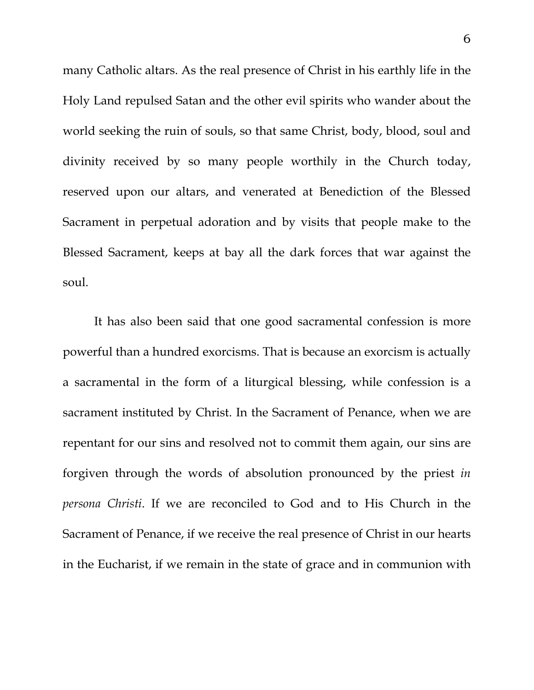many Catholic altars. As the real presence of Christ in his earthly life in the Holy Land repulsed Satan and the other evil spirits who wander about the world seeking the ruin of souls, so that same Christ, body, blood, soul and divinity received by so many people worthily in the Church today, reserved upon our altars, and venerated at Benediction of the Blessed Sacrament in perpetual adoration and by visits that people make to the Blessed Sacrament, keeps at bay all the dark forces that war against the soul.

 It has also been said that one good sacramental confession is more powerful than a hundred exorcisms. That is because an exorcism is actually a sacramental in the form of a liturgical blessing, while confession is a sacrament instituted by Christ. In the Sacrament of Penance, when we are repentant for our sins and resolved not to commit them again, our sins are forgiven through the words of absolution pronounced by the priest *in persona Christi*. If we are reconciled to God and to His Church in the Sacrament of Penance, if we receive the real presence of Christ in our hearts in the Eucharist, if we remain in the state of grace and in communion with